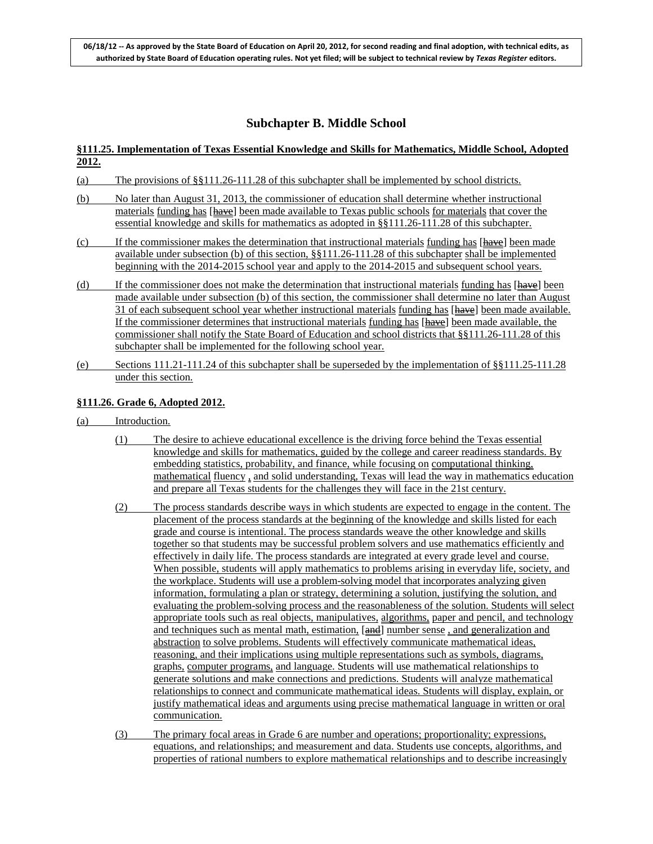# **Subchapter B. Middle School**

## **§111.25. Implementation of Texas Essential Knowledge and Skills for Mathematics, Middle School, Adopted 2012.**

- (a) The provisions of §§111.26-111.28 of this subchapter shall be implemented by school districts.
- (b) No later than August 31, 2013, the commissioner of education shall determine whether instructional materials funding has [have] been made available to Texas public schools for materials that cover the essential knowledge and skills for mathematics as adopted in §§111.26-111.28 of this subchapter.
- $(c)$  If the commissioner makes the determination that instructional materials funding has [have] been made available under subsection (b) of this section, §§111.26-111.28 of this subchapter shall be implemented beginning with the 2014-2015 school year and apply to the 2014-2015 and subsequent school years.
- (d) If the commissioner does not make the determination that instructional materials funding has [have] been made available under subsection (b) of this section, the commissioner shall determine no later than August 31 of each subsequent school year whether instructional materials funding has [have] been made available. If the commissioner determines that instructional materials funding has [have] been made available, the commissioner shall notify the State Board of Education and school districts that §§111.26-111.28 of this subchapter shall be implemented for the following school year.
- (e) Sections 111.21-111.24 of this subchapter shall be superseded by the implementation of §§111.25-111.28 under this section.

### **§111.26. Grade 6, Adopted 2012.**

- (a) Introduction.
	- (1) The desire to achieve educational excellence is the driving force behind the Texas essential knowledge and skills for mathematics, guided by the college and career readiness standards. By embedding statistics, probability, and finance, while focusing on computational thinking, mathematical fluency , and solid understanding, Texas will lead the way in mathematics education and prepare all Texas students for the challenges they will face in the 21st century.
	- (2) The process standards describe ways in which students are expected to engage in the content. The placement of the process standards at the beginning of the knowledge and skills listed for each grade and course is intentional. The process standards weave the other knowledge and skills together so that students may be successful problem solvers and use mathematics efficiently and effectively in daily life. The process standards are integrated at every grade level and course. When possible, students will apply mathematics to problems arising in everyday life, society, and the workplace. Students will use a problem-solving model that incorporates analyzing given information, formulating a plan or strategy, determining a solution, justifying the solution, and evaluating the problem-solving process and the reasonableness of the solution. Students will select appropriate tools such as real objects, manipulatives, algorithms, paper and pencil, and technology and techniques such as mental math, estimation, [and] number sense , and generalization and abstraction to solve problems. Students will effectively communicate mathematical ideas, reasoning, and their implications using multiple representations such as symbols, diagrams, graphs, computer programs, and language. Students will use mathematical relationships to generate solutions and make connections and predictions. Students will analyze mathematical relationships to connect and communicate mathematical ideas. Students will display, explain, or justify mathematical ideas and arguments using precise mathematical language in written or oral communication.
	- (3) The primary focal areas in Grade 6 are number and operations; proportionality; expressions, equations, and relationships; and measurement and data. Students use concepts, algorithms, and properties of rational numbers to explore mathematical relationships and to describe increasingly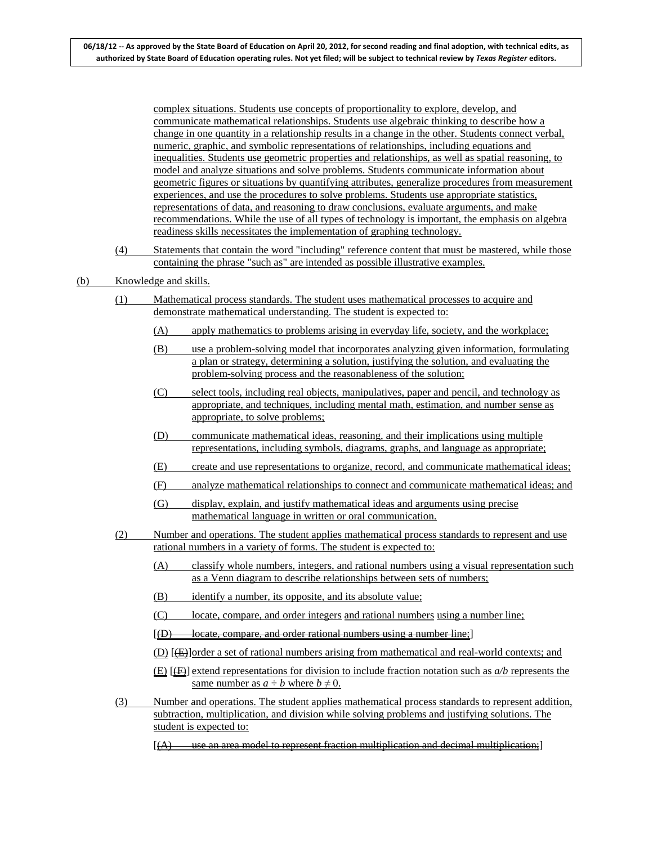complex situations. Students use concepts of proportionality to explore, develop, and communicate mathematical relationships. Students use algebraic thinking to describe how a change in one quantity in a relationship results in a change in the other. Students connect verbal, numeric, graphic, and symbolic representations of relationships, including equations and inequalities. Students use geometric properties and relationships, as well as spatial reasoning, to model and analyze situations and solve problems. Students communicate information about geometric figures or situations by quantifying attributes, generalize procedures from measurement experiences, and use the procedures to solve problems. Students use appropriate statistics, representations of data, and reasoning to draw conclusions, evaluate arguments, and make recommendations. While the use of all types of technology is important, the emphasis on algebra readiness skills necessitates the implementation of graphing technology.

- (4) Statements that contain the word "including" reference content that must be mastered, while those containing the phrase "such as" are intended as possible illustrative examples.
- (b) Knowledge and skills.
	- (1) Mathematical process standards. The student uses mathematical processes to acquire and demonstrate mathematical understanding. The student is expected to:
		- (A) apply mathematics to problems arising in everyday life, society, and the workplace;
		- (B) use a problem-solving model that incorporates analyzing given information, formulating a plan or strategy, determining a solution, justifying the solution, and evaluating the problem-solving process and the reasonableness of the solution;
		- (C) select tools, including real objects, manipulatives, paper and pencil, and technology as appropriate, and techniques, including mental math, estimation, and number sense as appropriate, to solve problems;
		- (D) communicate mathematical ideas, reasoning, and their implications using multiple representations, including symbols, diagrams, graphs, and language as appropriate;
		- (E) create and use representations to organize, record, and communicate mathematical ideas;
		- (F) analyze mathematical relationships to connect and communicate mathematical ideas; and
		- (G) display, explain, and justify mathematical ideas and arguments using precise mathematical language in written or oral communication.
	- (2) Number and operations. The student applies mathematical process standards to represent and use rational numbers in a variety of forms. The student is expected to:
		- (A) classify whole numbers, integers, and rational numbers using a visual representation such as a Venn diagram to describe relationships between sets of numbers;
		- (B) identify a number, its opposite, and its absolute value;
		- (C) locate, compare, and order integers and rational numbers using a number line;
		- $[1]$  locate, compare, and order rational numbers using a number line;
		- $(D)$  [ $E$ ] order a set of rational numbers arising from mathematical and real-world contexts; and
		- $(E)$  [ $E$ ] extend representations for division to include fraction notation such as  $a/b$  represents the same number as  $a \div b$  where  $b \neq 0$ .
	- (3) Number and operations. The student applies mathematical process standards to represent addition, subtraction, multiplication, and division while solving problems and justifying solutions. The student is expected to:

 $[(A)$  use an area model to represent fraction multiplication and decimal multiplication;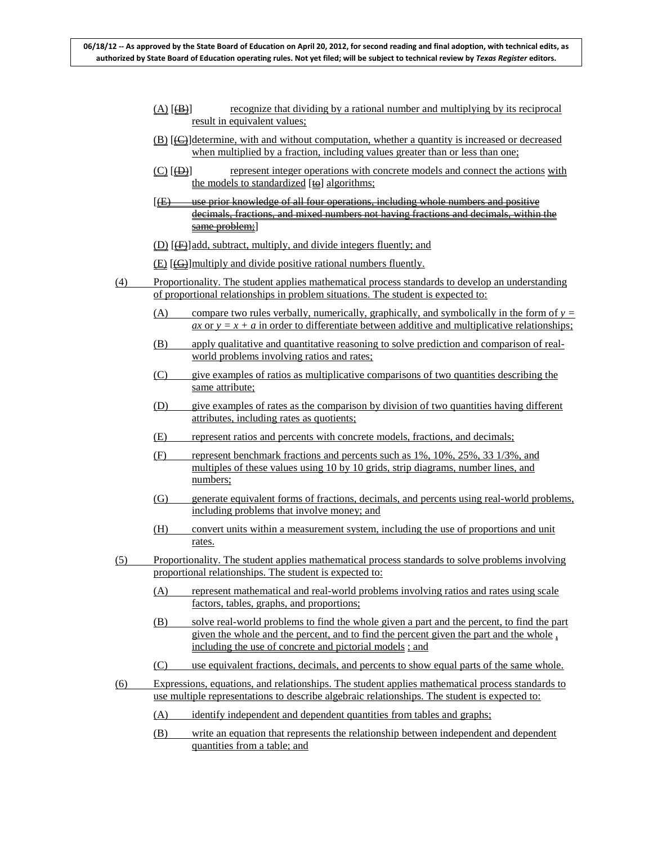- $(A)$   $(\overline{B})$ recognize that dividing by a rational number and multiplying by its reciprocal result in equivalent values:
- $(B)$  [ $\bigoplus$ ] determine, with and without computation, whether a quantity is increased or decreased when multiplied by a fraction, including values greater than or less than one;
- $(C)$   $(\oplus)$ represent integer operations with concrete models and connect the actions with the models to standardized [to algorithms;
- [(E) use prior knowledge of all four operations, including whole numbers and positive decimals, fractions, and mixed numbers not having fractions and decimals, within the same problem;
- (D) [ $\bigoplus$ ] add, subtract, multiply, and divide integers fluently; and
- (E) [(G)] multiply and divide positive rational numbers fluently.
- (4) Proportionality. The student applies mathematical process standards to develop an understanding of proportional relationships in problem situations. The student is expected to:
	- (A) compare two rules verbally, numerically, graphically, and symbolically in the form of *y = ax* or  $y = x + a$  in order to differentiate between additive and multiplicative relationships;
	- (B) apply qualitative and quantitative reasoning to solve prediction and comparison of realworld problems involving ratios and rates;
	- (C) give examples of ratios as multiplicative comparisons of two quantities describing the same attribute;
	- (D) give examples of rates as the comparison by division of two quantities having different attributes, including rates as quotients;
	- (E) represent ratios and percents with concrete models, fractions, and decimals;
	- (F) represent benchmark fractions and percents such as 1%, 10%, 25%, 33 1/3%, and multiples of these values using 10 by 10 grids, strip diagrams, number lines, and numbers;
	- (G) generate equivalent forms of fractions, decimals, and percents using real-world problems, including problems that involve money; and
	- (H) convert units within a measurement system, including the use of proportions and unit rates.
- (5) Proportionality. The student applies mathematical process standards to solve problems involving proportional relationships. The student is expected to:
	- (A) represent mathematical and real-world problems involving ratios and rates using scale factors, tables, graphs, and proportions;
	- (B) solve real-world problems to find the whole given a part and the percent, to find the part given the whole and the percent, and to find the percent given the part and the whole , including the use of concrete and pictorial models ; and
	- (C) use equivalent fractions, decimals, and percents to show equal parts of the same whole.
- (6) Expressions, equations, and relationships. The student applies mathematical process standards to use multiple representations to describe algebraic relationships. The student is expected to:
	- (A) identify independent and dependent quantities from tables and graphs;
	- (B) write an equation that represents the relationship between independent and dependent quantities from a table; and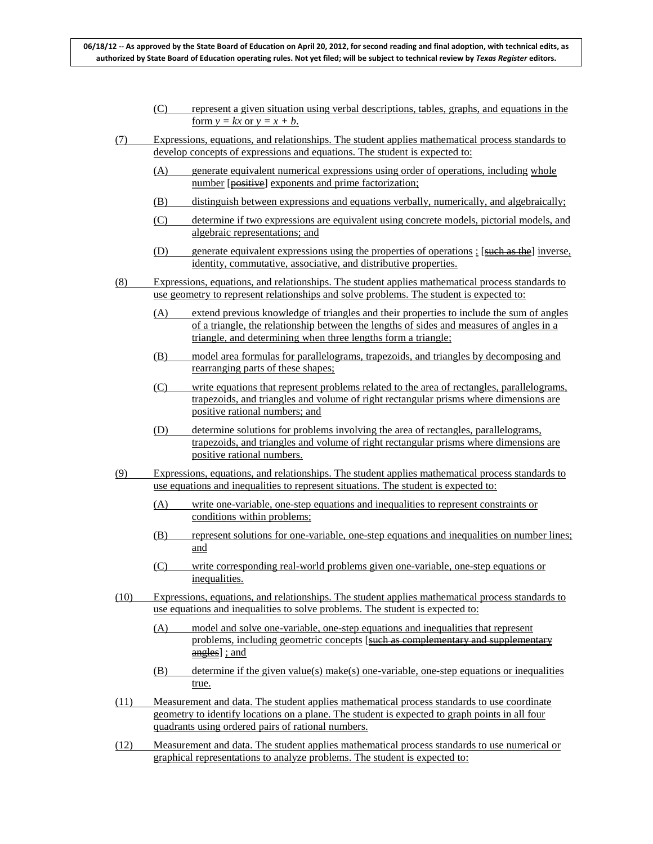- (C) represent a given situation using verbal descriptions, tables, graphs, and equations in the form  $y = kx$  or  $y = x + b$ .
- (7) Expressions, equations, and relationships. The student applies mathematical process standards to develop concepts of expressions and equations. The student is expected to:
	- (A) generate equivalent numerical expressions using order of operations, including whole number [positive] exponents and prime factorization;
	- (B) distinguish between expressions and equations verbally, numerically, and algebraically;
	- (C) determine if two expressions are equivalent using concrete models, pictorial models, and algebraic representations; and
	- (D) generate equivalent expressions using the properties of operations : [such as the] inverse, identity, commutative, associative, and distributive properties.
- (8) Expressions, equations, and relationships. The student applies mathematical process standards to use geometry to represent relationships and solve problems. The student is expected to:
	- (A) extend previous knowledge of triangles and their properties to include the sum of angles of a triangle, the relationship between the lengths of sides and measures of angles in a triangle, and determining when three lengths form a triangle;
	- (B) model area formulas for parallelograms, trapezoids, and triangles by decomposing and rearranging parts of these shapes;
	- (C) write equations that represent problems related to the area of rectangles, parallelograms, trapezoids, and triangles and volume of right rectangular prisms where dimensions are positive rational numbers; and
	- (D) determine solutions for problems involving the area of rectangles, parallelograms, trapezoids, and triangles and volume of right rectangular prisms where dimensions are positive rational numbers.
- (9) Expressions, equations, and relationships. The student applies mathematical process standards to use equations and inequalities to represent situations. The student is expected to:
	- (A) write one-variable, one-step equations and inequalities to represent constraints or conditions within problems;
	- (B) represent solutions for one-variable, one-step equations and inequalities on number lines; and
	- (C) write corresponding real-world problems given one-variable, one-step equations or inequalities.
- (10) Expressions, equations, and relationships. The student applies mathematical process standards to use equations and inequalities to solve problems. The student is expected to:
	- (A) model and solve one-variable, one-step equations and inequalities that represent problems, including geometric concepts [such as complementary and supplementary angles]; and
	- (B) determine if the given value(s) make(s) one-variable, one-step equations or inequalities true.
- (11) Measurement and data. The student applies mathematical process standards to use coordinate geometry to identify locations on a plane. The student is expected to graph points in all four quadrants using ordered pairs of rational numbers.
- (12) Measurement and data. The student applies mathematical process standards to use numerical or graphical representations to analyze problems. The student is expected to: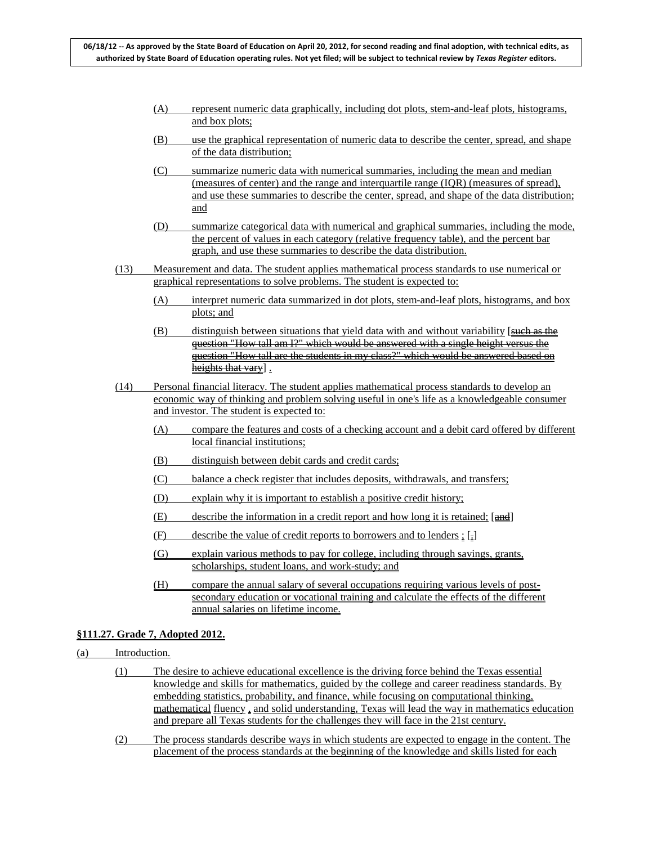- (A) represent numeric data graphically, including dot plots, stem-and-leaf plots, histograms, and box plots;
- (B) use the graphical representation of numeric data to describe the center, spread, and shape of the data distribution;
- (C) summarize numeric data with numerical summaries, including the mean and median (measures of center) and the range and interquartile range (IQR) (measures of spread), and use these summaries to describe the center, spread, and shape of the data distribution; and
- (D) summarize categorical data with numerical and graphical summaries, including the mode, the percent of values in each category (relative frequency table), and the percent bar graph, and use these summaries to describe the data distribution.
- (13) Measurement and data. The student applies mathematical process standards to use numerical or graphical representations to solve problems. The student is expected to:
	- (A) interpret numeric data summarized in dot plots, stem-and-leaf plots, histograms, and box plots; and
	- $(B)$  distinguish between situations that yield data with and without variability [such as the question "How tall am I?" which would be answered with a single height versus the question "How tall are the students in my class?" which would be answered based on heights that vary].
- (14) Personal financial literacy. The student applies mathematical process standards to develop an economic way of thinking and problem solving useful in one's life as a knowledgeable consumer and investor. The student is expected to:
	- (A) compare the features and costs of a checking account and a debit card offered by different local financial institutions;
	- (B) distinguish between debit cards and credit cards;
	- (C) balance a check register that includes deposits, withdrawals, and transfers;
	- (D) explain why it is important to establish a positive credit history;
	- (E) describe the information in a credit report and how long it is retained;  $[\frac{and}{ }]$
	- (F) describe the value of credit reports to borrowers and to lenders  $\frac{1}{2}$  [ $\frac{1}{2}$ ]
	- (G) explain various methods to pay for college, including through savings, grants, scholarships, student loans, and work-study; and
	- (H) compare the annual salary of several occupations requiring various levels of postsecondary education or vocational training and calculate the effects of the different annual salaries on lifetime income.

## **§111.27. Grade 7, Adopted 2012.**

- (a) Introduction.
	- (1) The desire to achieve educational excellence is the driving force behind the Texas essential knowledge and skills for mathematics, guided by the college and career readiness standards. By embedding statistics, probability, and finance, while focusing on computational thinking, mathematical fluency , and solid understanding, Texas will lead the way in mathematics education and prepare all Texas students for the challenges they will face in the 21st century.
	- (2) The process standards describe ways in which students are expected to engage in the content. The placement of the process standards at the beginning of the knowledge and skills listed for each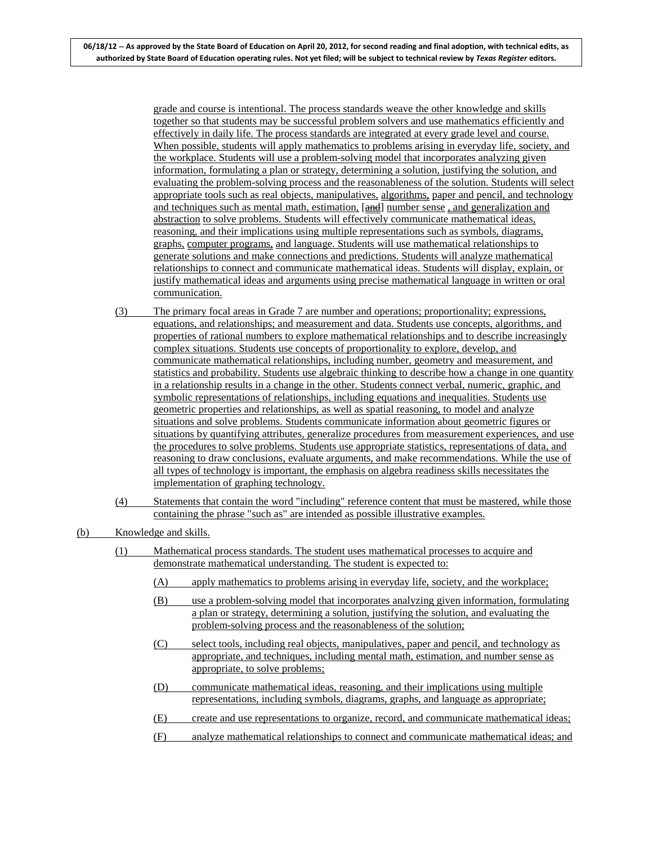grade and course is intentional. The process standards weave the other knowledge and skills together so that students may be successful problem solvers and use mathematics efficiently and effectively in daily life. The process standards are integrated at every grade level and course. When possible, students will apply mathematics to problems arising in everyday life, society, and the workplace. Students will use a problem-solving model that incorporates analyzing given information, formulating a plan or strategy, determining a solution, justifying the solution, and evaluating the problem-solving process and the reasonableness of the solution. Students will select appropriate tools such as real objects, manipulatives, algorithms, paper and pencil, and technology and techniques such as mental math, estimation, [and] number sense, and generalization and abstraction to solve problems. Students will effectively communicate mathematical ideas, reasoning, and their implications using multiple representations such as symbols, diagrams, graphs, computer programs, and language. Students will use mathematical relationships to generate solutions and make connections and predictions. Students will analyze mathematical relationships to connect and communicate mathematical ideas. Students will display, explain, or justify mathematical ideas and arguments using precise mathematical language in written or oral communication.

- (3) The primary focal areas in Grade 7 are number and operations; proportionality; expressions, equations, and relationships; and measurement and data. Students use concepts, algorithms, and properties of rational numbers to explore mathematical relationships and to describe increasingly complex situations. Students use concepts of proportionality to explore, develop, and communicate mathematical relationships, including number, geometry and measurement, and statistics and probability. Students use algebraic thinking to describe how a change in one quantity in a relationship results in a change in the other. Students connect verbal, numeric, graphic, and symbolic representations of relationships, including equations and inequalities. Students use geometric properties and relationships, as well as spatial reasoning, to model and analyze situations and solve problems. Students communicate information about geometric figures or situations by quantifying attributes, generalize procedures from measurement experiences, and use the procedures to solve problems. Students use appropriate statistics, representations of data, and reasoning to draw conclusions, evaluate arguments, and make recommendations. While the use of all types of technology is important, the emphasis on algebra readiness skills necessitates the implementation of graphing technology.
- (4) Statements that contain the word "including" reference content that must be mastered, while those containing the phrase "such as" are intended as possible illustrative examples.
- (b) Knowledge and skills.
	- (1) Mathematical process standards. The student uses mathematical processes to acquire and demonstrate mathematical understanding. The student is expected to:
		- (A) apply mathematics to problems arising in everyday life, society, and the workplace;
		- (B) use a problem-solving model that incorporates analyzing given information, formulating a plan or strategy, determining a solution, justifying the solution, and evaluating the problem-solving process and the reasonableness of the solution;
		- (C) select tools, including real objects, manipulatives, paper and pencil, and technology as appropriate, and techniques, including mental math, estimation, and number sense as appropriate, to solve problems;
		- (D) communicate mathematical ideas, reasoning, and their implications using multiple representations, including symbols, diagrams, graphs, and language as appropriate;
		- (E) create and use representations to organize, record, and communicate mathematical ideas;
		- (F) analyze mathematical relationships to connect and communicate mathematical ideas; and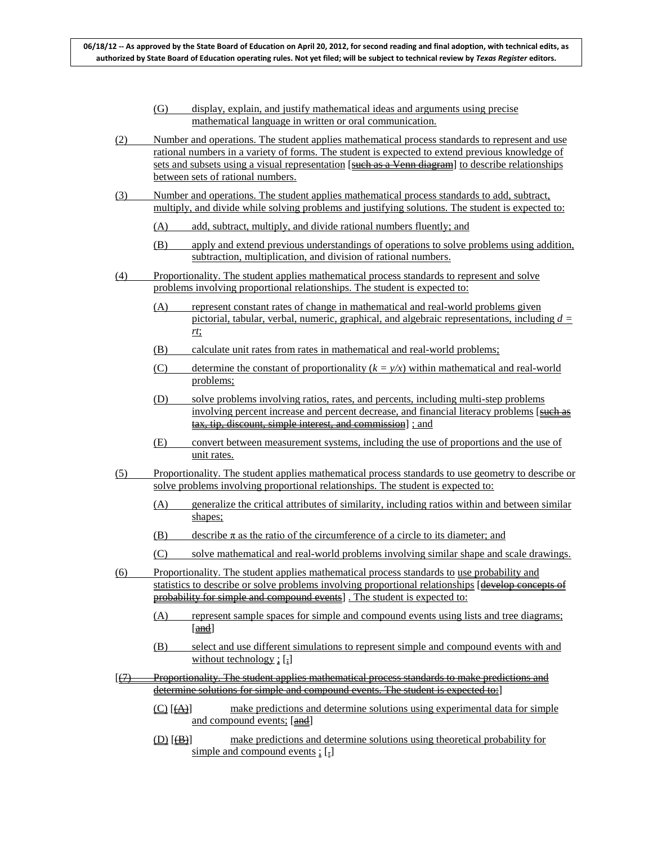- (G) display, explain, and justify mathematical ideas and arguments using precise mathematical language in written or oral communication.
- (2) Number and operations. The student applies mathematical process standards to represent and use rational numbers in a variety of forms. The student is expected to extend previous knowledge of sets and subsets using a visual representation [such as a Venn diagram] to describe relationships between sets of rational numbers.
- (3) Number and operations. The student applies mathematical process standards to add, subtract, multiply, and divide while solving problems and justifying solutions. The student is expected to:
	- (A) add, subtract, multiply, and divide rational numbers fluently; and
	- (B) apply and extend previous understandings of operations to solve problems using addition, subtraction, multiplication, and division of rational numbers.
- (4) Proportionality. The student applies mathematical process standards to represent and solve problems involving proportional relationships. The student is expected to:
	- (A) represent constant rates of change in mathematical and real-world problems given pictorial, tabular, verbal, numeric, graphical, and algebraic representations, including  $d =$ *rt*;
	- (B) calculate unit rates from rates in mathematical and real-world problems;
	- (C) determine the constant of proportionality  $(k = \gamma x)$  within mathematical and real-world problems;
	- (D) solve problems involving ratios, rates, and percents, including multi-step problems involving percent increase and percent decrease, and financial literacy problems [such as tax, tip, discount, simple interest, and commission] ; and
	- (E) convert between measurement systems, including the use of proportions and the use of unit rates.
- (5) Proportionality. The student applies mathematical process standards to use geometry to describe or solve problems involving proportional relationships. The student is expected to:
	- (A) generalize the critical attributes of similarity, including ratios within and between similar shapes;
	- (B) describe  $\pi$  as the ratio of the circumference of a circle to its diameter; and
	- (C) solve mathematical and real-world problems involving similar shape and scale drawings.
- (6) Proportionality. The student applies mathematical process standards to use probability and statistics to describe or solve problems involving proportional relationships [develop concepts of probability for simple and compound events]. The student is expected to:
	- (A) represent sample spaces for simple and compound events using lists and tree diagrams; [and]
	- (B) select and use different simulations to represent simple and compound events with and without technology  $\frac{1}{2}$  [ $\frac{1}{2}$ ]
- [(7) Proportionality. The student applies mathematical process standards to make predictions and determine solutions for simple and compound events. The student is expected to:]
	- $(C)$   $(\overrightarrow{AA})$  make predictions and determine solutions using experimental data for simple and compound events; [and]
	- $(D)$   $[\bigoplus]$ make predictions and determine solutions using theoretical probability for simple and compound events  $\lfloor \cdot \rfloor$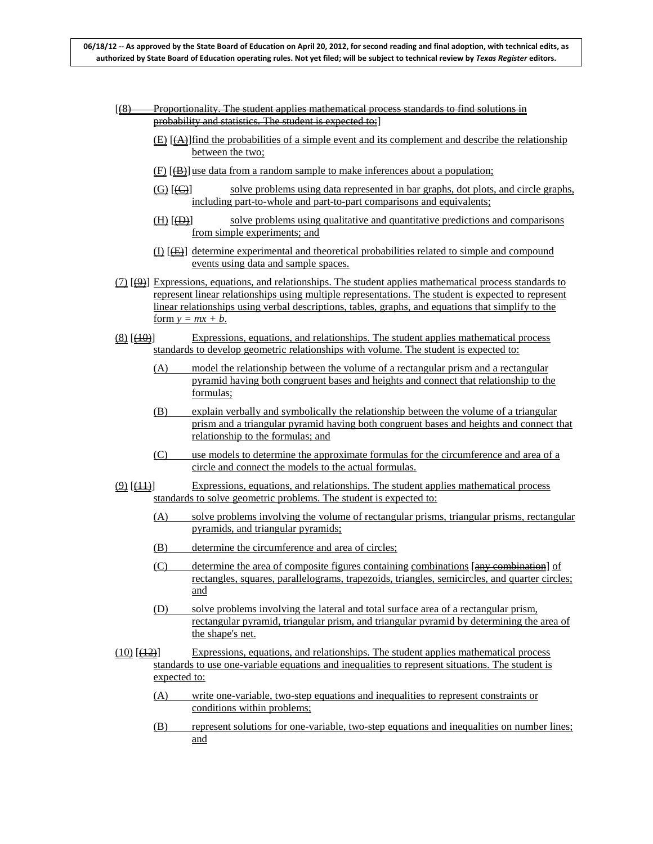#### [(8) Proportionality. The student applies mathematical process standards to find solutions in probability and statistics. The student is expected to:]

- $(E)$   $[\Delta]$  find the probabilities of a simple event and its complement and describe the relationship between the two;
- (F) [(B)] use data from a random sample to make inferences about a population;
- $(G)$   $[ef]$ solve problems using data represented in bar graphs, dot plots, and circle graphs, including part-to-whole and part-to-part comparisons and equivalents;
- $(H)$   $(\bigoplus)$ solve problems using qualitative and quantitative predictions and comparisons from simple experiments; and
- $(I)$   $(\underline{E})$  determine experimental and theoretical probabilities related to simple and compound events using data and sample spaces.
- $(7)$   $(9)$  Expressions, equations, and relationships. The student applies mathematical process standards to represent linear relationships using multiple representations. The student is expected to represent linear relationships using verbal descriptions, tables, graphs, and equations that simplify to the form  $y = mx + b$ .
- $(8)$   $(40)$ Expressions, equations, and relationships. The student applies mathematical process standards to develop geometric relationships with volume. The student is expected to:
	- (A) model the relationship between the volume of a rectangular prism and a rectangular pyramid having both congruent bases and heights and connect that relationship to the formulas;
	- (B) explain verbally and symbolically the relationship between the volume of a triangular prism and a triangular pyramid having both congruent bases and heights and connect that relationship to the formulas; and
	- (C) use models to determine the approximate formulas for the circumference and area of a circle and connect the models to the actual formulas.
- $(9)$   $(44)$ ] Expressions, equations, and relationships. The student applies mathematical process standards to solve geometric problems. The student is expected to:
	- (A) solve problems involving the volume of rectangular prisms, triangular prisms, rectangular pyramids, and triangular pyramids;
	- (B) determine the circumference and area of circles;
	- (C) determine the area of composite figures containing combinations [any combination] of rectangles, squares, parallelograms, trapezoids, triangles, semicircles, and quarter circles; and
	- (D) solve problems involving the lateral and total surface area of a rectangular prism, rectangular pyramid, triangular prism, and triangular pyramid by determining the area of the shape's net.
- $(10)$   $(42)$ ] Expressions, equations, and relationships. The student applies mathematical process standards to use one-variable equations and inequalities to represent situations. The student is expected to:
	- (A) write one-variable, two-step equations and inequalities to represent constraints or conditions within problems;
	- (B) represent solutions for one-variable, two-step equations and inequalities on number lines; and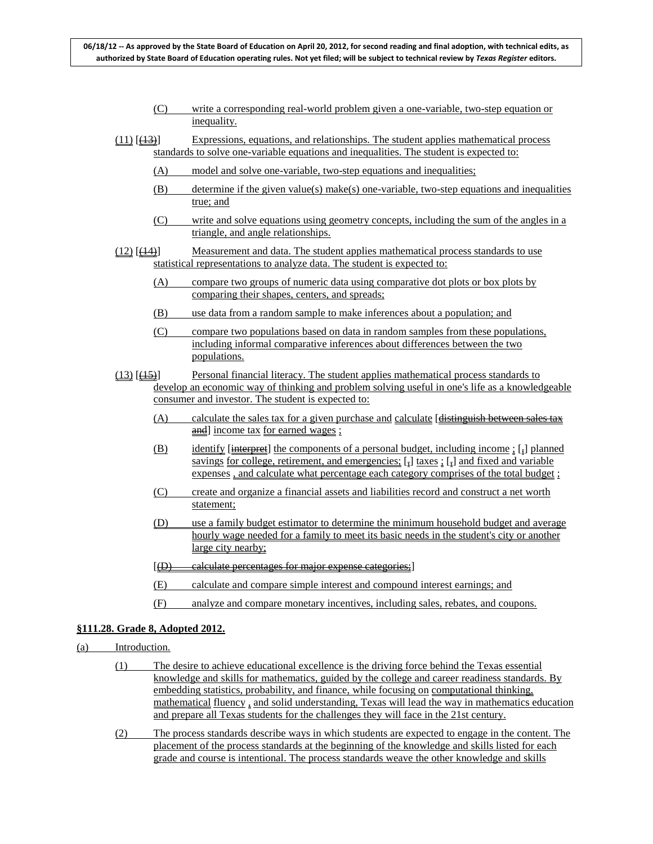- (C) write a corresponding real-world problem given a one-variable, two-step equation or inequality.
- $(11)$   $(43)$ ] Expressions, equations, and relationships. The student applies mathematical process standards to solve one-variable equations and inequalities. The student is expected to:
	- (A) model and solve one-variable, two-step equations and inequalities;
	- (B) determine if the given value(s) make(s) one-variable, two-step equations and inequalities true; and
	- (C) write and solve equations using geometry concepts, including the sum of the angles in a triangle, and angle relationships.
- $(12)$   $(44)$ Measurement and data. The student applies mathematical process standards to use statistical representations to analyze data. The student is expected to:
	- (A) compare two groups of numeric data using comparative dot plots or box plots by comparing their shapes, centers, and spreads;
	- (B) use data from a random sample to make inferences about a population; and
	- (C) compare two populations based on data in random samples from these populations, including informal comparative inferences about differences between the two populations.
- $(13)$   $(15)$ Personal financial literacy. The student applies mathematical process standards to develop an economic way of thinking and problem solving useful in one's life as a knowledgeable consumer and investor. The student is expected to:
	- $(A)$  calculate the sales tax for a given purchase and calculate [distinguish between sales tax and income tax for earned wages;
	- $(B)$  identify [interpret] the components of a personal budget, including income ; [ $_{5}$ ] planned savings for college, retirement, and emergencies;  $\left[\frac{1}{2}\right]$  taxes  $\left[\frac{1}{2}\right]$  and fixed and variable expenses , and calculate what percentage each category comprises of the total budget ;
	- (C) create and organize a financial assets and liabilities record and construct a net worth statement;
	- (D) use a family budget estimator to determine the minimum household budget and average hourly wage needed for a family to meet its basic needs in the student's city or another large city nearby;
	- [(D) calculate percentages for major expense categories;]
	- (E) calculate and compare simple interest and compound interest earnings; and
	- (F) analyze and compare monetary incentives, including sales, rebates, and coupons.

#### **§111.28. Grade 8, Adopted 2012.**

- (a) Introduction.
	- (1) The desire to achieve educational excellence is the driving force behind the Texas essential knowledge and skills for mathematics, guided by the college and career readiness standards. By embedding statistics, probability, and finance, while focusing on computational thinking, mathematical fluency , and solid understanding, Texas will lead the way in mathematics education and prepare all Texas students for the challenges they will face in the 21st century.
	- (2) The process standards describe ways in which students are expected to engage in the content. The placement of the process standards at the beginning of the knowledge and skills listed for each grade and course is intentional. The process standards weave the other knowledge and skills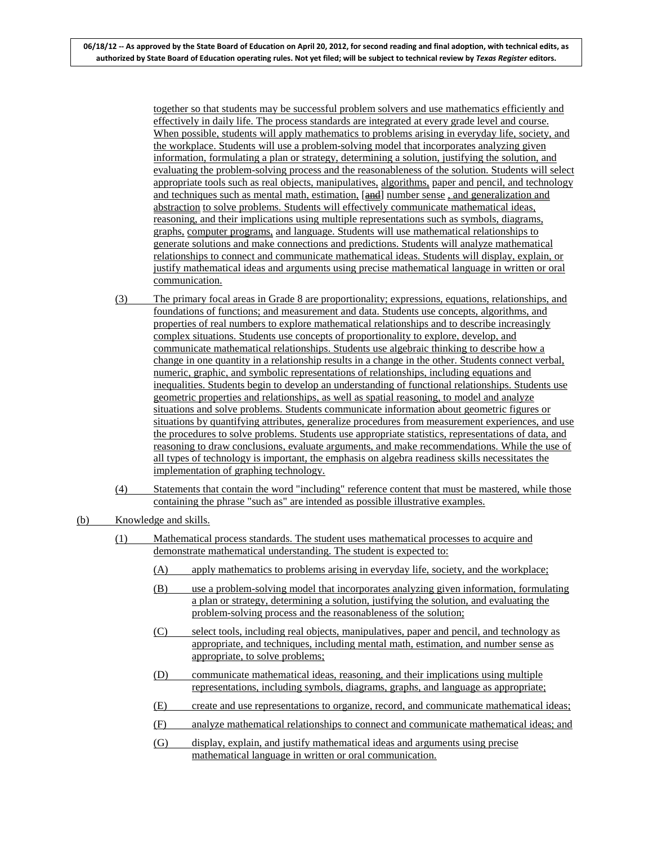together so that students may be successful problem solvers and use mathematics efficiently and effectively in daily life. The process standards are integrated at every grade level and course. When possible, students will apply mathematics to problems arising in everyday life, society, and the workplace. Students will use a problem-solving model that incorporates analyzing given information, formulating a plan or strategy, determining a solution, justifying the solution, and evaluating the problem-solving process and the reasonableness of the solution. Students will select appropriate tools such as real objects, manipulatives, algorithms, paper and pencil, and technology and techniques such as mental math, estimation, [and] number sense, and generalization and abstraction to solve problems. Students will effectively communicate mathematical ideas, reasoning, and their implications using multiple representations such as symbols, diagrams, graphs, computer programs, and language. Students will use mathematical relationships to generate solutions and make connections and predictions. Students will analyze mathematical relationships to connect and communicate mathematical ideas. Students will display, explain, or justify mathematical ideas and arguments using precise mathematical language in written or oral communication.

- (3) The primary focal areas in Grade 8 are proportionality; expressions, equations, relationships, and foundations of functions; and measurement and data. Students use concepts, algorithms, and properties of real numbers to explore mathematical relationships and to describe increasingly complex situations. Students use concepts of proportionality to explore, develop, and communicate mathematical relationships. Students use algebraic thinking to describe how a change in one quantity in a relationship results in a change in the other. Students connect verbal, numeric, graphic, and symbolic representations of relationships, including equations and inequalities. Students begin to develop an understanding of functional relationships. Students use geometric properties and relationships, as well as spatial reasoning, to model and analyze situations and solve problems. Students communicate information about geometric figures or situations by quantifying attributes, generalize procedures from measurement experiences, and use the procedures to solve problems. Students use appropriate statistics, representations of data, and reasoning to draw conclusions, evaluate arguments, and make recommendations. While the use of all types of technology is important, the emphasis on algebra readiness skills necessitates the implementation of graphing technology.
- (4) Statements that contain the word "including" reference content that must be mastered, while those containing the phrase "such as" are intended as possible illustrative examples.
- (b) Knowledge and skills.
	- (1) Mathematical process standards. The student uses mathematical processes to acquire and demonstrate mathematical understanding. The student is expected to:
		- (A) apply mathematics to problems arising in everyday life, society, and the workplace;
		- (B) use a problem-solving model that incorporates analyzing given information, formulating a plan or strategy, determining a solution, justifying the solution, and evaluating the problem-solving process and the reasonableness of the solution;
		- (C) select tools, including real objects, manipulatives, paper and pencil, and technology as appropriate, and techniques, including mental math, estimation, and number sense as appropriate, to solve problems;
		- (D) communicate mathematical ideas, reasoning, and their implications using multiple representations, including symbols, diagrams, graphs, and language as appropriate;
		- (E) create and use representations to organize, record, and communicate mathematical ideas;
		- (F) analyze mathematical relationships to connect and communicate mathematical ideas; and
		- (G) display, explain, and justify mathematical ideas and arguments using precise mathematical language in written or oral communication.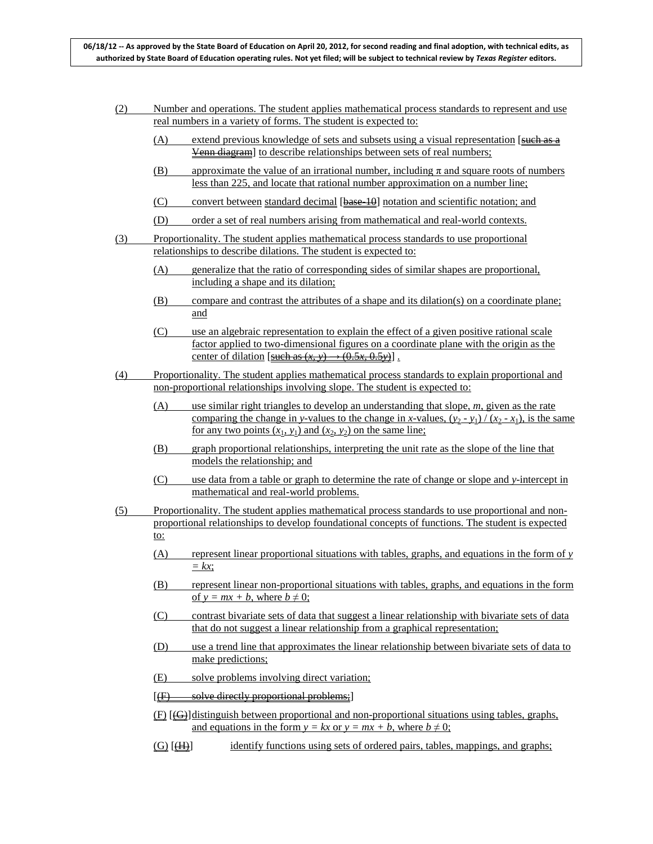- (2) Number and operations. The student applies mathematical process standards to represent and use real numbers in a variety of forms. The student is expected to:
	- $(A)$  extend previous knowledge of sets and subsets using a visual representation [such as a Venn diagram] to describe relationships between sets of real numbers;
	- (B) approximate the value of an irrational number, including  $\pi$  and square roots of numbers less than 225, and locate that rational number approximation on a number line;
	- (C) convert between standard decimal [base-10] notation and scientific notation; and
	- (D) order a set of real numbers arising from mathematical and real-world contexts.
- (3) Proportionality. The student applies mathematical process standards to use proportional relationships to describe dilations. The student is expected to:
	- (A) generalize that the ratio of corresponding sides of similar shapes are proportional, including a shape and its dilation;
	- (B) compare and contrast the attributes of a shape and its dilation(s) on a coordinate plane; and
	- (C) use an algebraic representation to explain the effect of a given positive rational scale factor applied to two-dimensional figures on a coordinate plane with the origin as the center of dilation  $[\text{such as } (x, y) \rightarrow (0.5x, 0.5y)]$ .
- (4) Proportionality. The student applies mathematical process standards to explain proportional and non-proportional relationships involving slope. The student is expected to:
	- (A) use similar right triangles to develop an understanding that slope, *m*, given as the rate comparing the change in *y*-values to the change in *x*-values,  $(y_2 - y_1) / (x_2 - x_1)$ , is the same for any two points  $(x_1, y_1)$  and  $(x_2, y_2)$  on the same line;
	- (B) graph proportional relationships, interpreting the unit rate as the slope of the line that models the relationship; and
	- (C) use data from a table or graph to determine the rate of change or slope and *y*-intercept in mathematical and real-world problems.
- (5) Proportionality. The student applies mathematical process standards to use proportional and nonproportional relationships to develop foundational concepts of functions. The student is expected to:
	- (A) represent linear proportional situations with tables, graphs, and equations in the form of *y = kx*;
	- (B) represent linear non-proportional situations with tables, graphs, and equations in the form of  $y = mx + b$ , where  $b \neq 0$ ;
	- (C) contrast bivariate sets of data that suggest a linear relationship with bivariate sets of data that do not suggest a linear relationship from a graphical representation;
	- (D) use a trend line that approximates the linear relationship between bivariate sets of data to make predictions;
	- (E) solve problems involving direct variation;
	- [(F) solve directly proportional problems;]
	- $(E)$  [ $\Theta$ ] distinguish between proportional and non-proportional situations using tables, graphs, and equations in the form  $y = kx$  or  $y = mx + b$ , where  $b \neq 0$ ;
	- $(G)$   $[\frac{H}{H}]$ identify functions using sets of ordered pairs, tables, mappings, and graphs;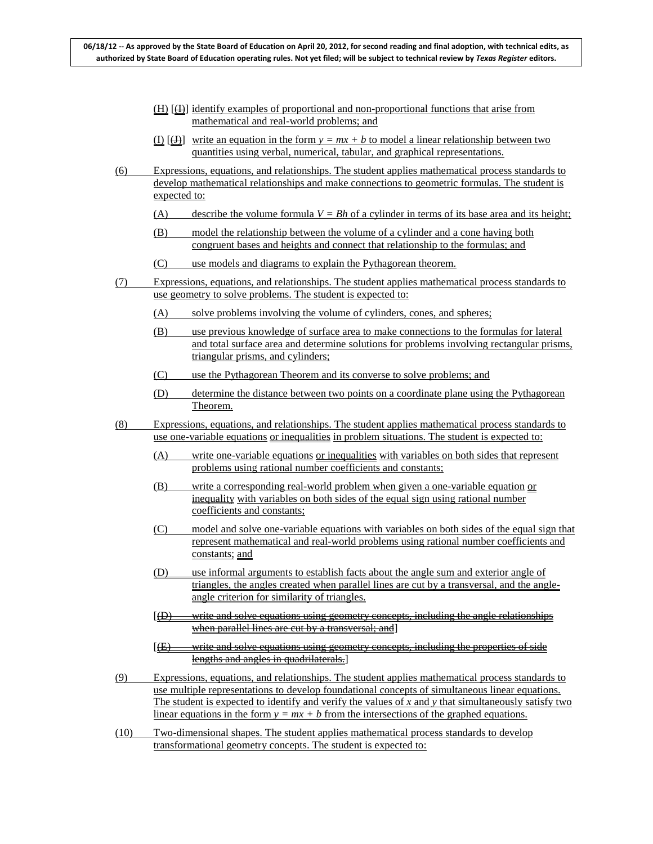- (H) [(I)] identify examples of proportional and non-proportional functions that arise from mathematical and real-world problems; and
- $(I)$   $(\underline{H})$  write an equation in the form  $y = mx + b$  to model a linear relationship between two quantities using verbal, numerical, tabular, and graphical representations.
- (6) Expressions, equations, and relationships. The student applies mathematical process standards to develop mathematical relationships and make connections to geometric formulas. The student is expected to:
	- (A) describe the volume formula  $V = Bh$  of a cylinder in terms of its base area and its height;
	- (B) model the relationship between the volume of a cylinder and a cone having both congruent bases and heights and connect that relationship to the formulas; and
	- (C) use models and diagrams to explain the Pythagorean theorem.
- (7) Expressions, equations, and relationships. The student applies mathematical process standards to use geometry to solve problems. The student is expected to:
	- (A) solve problems involving the volume of cylinders, cones, and spheres;
	- (B) use previous knowledge of surface area to make connections to the formulas for lateral and total surface area and determine solutions for problems involving rectangular prisms, triangular prisms, and cylinders;
	- (C) use the Pythagorean Theorem and its converse to solve problems; and
	- (D) determine the distance between two points on a coordinate plane using the Pythagorean Theorem.
- (8) Expressions, equations, and relationships. The student applies mathematical process standards to use one-variable equations or inequalities in problem situations. The student is expected to:
	- (A) write one-variable equations or inequalities with variables on both sides that represent problems using rational number coefficients and constants;
	- (B) write a corresponding real-world problem when given a one-variable equation or inequality with variables on both sides of the equal sign using rational number coefficients and constants;
	- (C) model and solve one-variable equations with variables on both sides of the equal sign that represent mathematical and real-world problems using rational number coefficients and constants; and
	- (D) use informal arguments to establish facts about the angle sum and exterior angle of triangles, the angles created when parallel lines are cut by a transversal, and the angleangle criterion for similarity of triangles.
	- $[$ ( $\Box$ ) write and solve equations using geometry concepts, including the angle relationships when parallel lines are cut by a transversal; and]
	- [(E) write and solve equations using geometry concepts, including the properties of side lengths and angles in quadrilaterals.]
- (9) Expressions, equations, and relationships. The student applies mathematical process standards to use multiple representations to develop foundational concepts of simultaneous linear equations. The student is expected to identify and verify the values of *x* and *y* that simultaneously satisfy two linear equations in the form  $y = mx + b$  from the intersections of the graphed equations.
- (10) Two-dimensional shapes. The student applies mathematical process standards to develop transformational geometry concepts. The student is expected to: